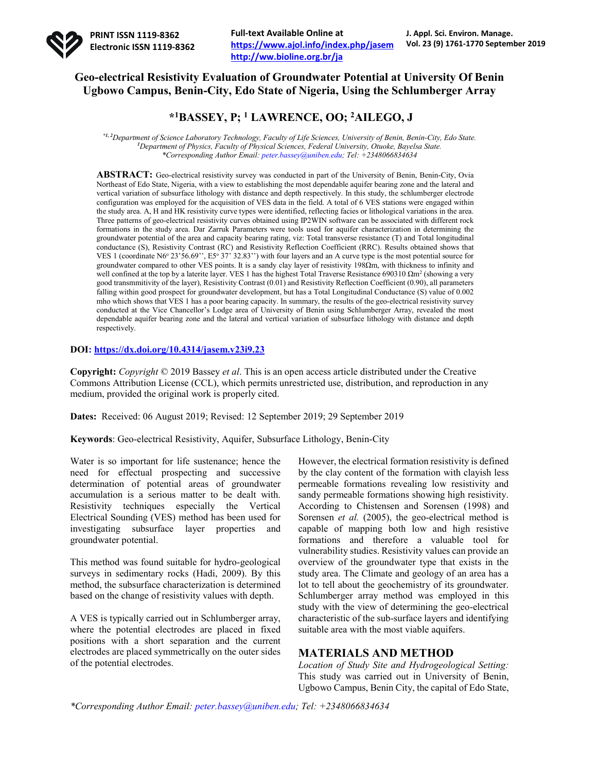

# **Geo-electrical Resistivity Evaluation of Groundwater Potential at University Of Benin Ugbowo Campus, Benin-City, Edo State of Nigeria, Using the Schlumberger Array**

## **\*1BASSEY, P; 1 LAWRENCE, OO; 2AILEGO, J**

*\*1, 2 Department of Science Laboratory Technology, Faculty of Life Sciences, University of Benin, Benin-City, Edo State. 1 Department of Physics, Faculty of Physical Sciences, Federal University, Otuoke, Bayelsa State. \*Corresponding Author Email: peter.bassey@uniben.edu; Tel: +2348066834634*

**ABSTRACT:** Geo-electrical resistivity survey was conducted in part of the University of Benin, Benin-City, Ovia Northeast of Edo State, Nigeria, with a view to establishing the most dependable aquifer bearing zone and the lateral and vertical variation of subsurface lithology with distance and depth respectively. In this study, the schlumberger electrode configuration was employed for the acquisition of VES data in the field. A total of 6 VES stations were engaged within the study area. A, H and HK resistivity curve types were identified, reflecting facies or lithological variations in the area. Three patterns of geo-electrical resistivity curves obtained using IP2WIN software can be associated with different rock formations in the study area. Dar Zarruk Parameters were tools used for aquifer characterization in determining the groundwater potential of the area and capacity bearing rating, viz: Total transverse resistance (T) and Total longitudinal conductance (S), Resistivity Contrast (RC) and Resistivity Reflection Coefficient (RRC). Results obtained shows that VES 1 (coordinate N6° 23'56.69'', E5° 37' 32.83'') with four layers and an A curve type is the most potential source for groundwater compared to other VES points. It is a sandy clay layer of resistivity  $198\Omega$ m, with thickness to infinity and well confined at the top by a laterite layer. VES 1 has the highest Total Traverse Resistance 690310 Ωm<sup>2</sup> (showing a very good transmmitivity of the layer), Resistivity Contrast (0.01) and Resistivity Reflection Coefficient (0.90), all parameters falling within good prospect for groundwater development, but has a Total Longitudinal Conductance (S) value of 0.002 mho which shows that VES 1 has a poor bearing capacity. In summary, the results of the geo-electrical resistivity survey conducted at the Vice Chancellor's Lodge area of University of Benin using Schlumberger Array, revealed the most dependable aquifer bearing zone and the lateral and vertical variation of subsurface lithology with distance and depth respectively.

#### **DOI: https://dx.doi.org/10.4314/jasem.v23i9.23**

**Copyright:** *Copyright* © 2019 Bassey *et al*. This is an open access article distributed under the Creative Commons Attribution License (CCL), which permits unrestricted use, distribution, and reproduction in any medium, provided the original work is properly cited.

**Dates:** Received: 06 August 2019; Revised: 12 September 2019; 29 September 2019

**Keywords**: Geo-electrical Resistivity, Aquifer, Subsurface Lithology, Benin-City

Water is so important for life sustenance; hence the need for effectual prospecting and successive determination of potential areas of groundwater accumulation is a serious matter to be dealt with. Resistivity techniques especially the Vertical Electrical Sounding (VES) method has been used for investigating subsurface layer properties and groundwater potential.

This method was found suitable for hydro-geological surveys in sedimentary rocks (Hadi, 2009). By this method, the subsurface characterization is determined based on the change of resistivity values with depth.

A VES is typically carried out in Schlumberger array, where the potential electrodes are placed in fixed positions with a short separation and the current electrodes are placed symmetrically on the outer sides of the potential electrodes.

However, the electrical formation resistivity is defined by the clay content of the formation with clayish less permeable formations revealing low resistivity and sandy permeable formations showing high resistivity. According to Chistensen and Sorensen (1998) and Sorensen *et al.* (2005), the geo-electrical method is capable of mapping both low and high resistive formations and therefore a valuable tool for vulnerability studies. Resistivity values can provide an overview of the groundwater type that exists in the study area. The Climate and geology of an area has a lot to tell about the geochemistry of its groundwater. Schlumberger array method was employed in this study with the view of determining the geo-electrical characteristic of the sub-surface layers and identifying suitable area with the most viable aquifers.

### **MATERIALS AND METHOD**

*Location of Study Site and Hydrogeological Setting:*  This study was carried out in University of Benin, Ugbowo Campus, Benin City, the capital of Edo State,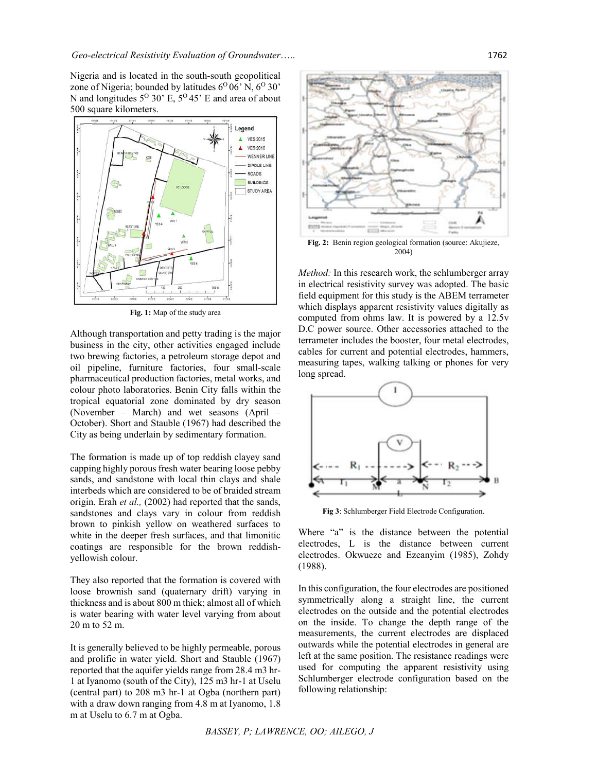Nigeria and is located in the south-south geopolitical zone of Nigeria; bounded by latitudes  $6^{\circ}06'$  N,  $6^{\circ}30'$ N and longitudes  $5^{\circ}$  30' E,  $5^{\circ}$  45' E and area of about 500 square kilometers.



**Fig. 1:** Map of the study area

Although transportation and petty trading is the major business in the city, other activities engaged include two brewing factories, a petroleum storage depot and oil pipeline, furniture factories, four small-scale pharmaceutical production factories, metal works, and colour photo laboratories. Benin City falls within the tropical equatorial zone dominated by dry season (November – March) and wet seasons (April – October). Short and Stauble (1967) had described the City as being underlain by sedimentary formation.

The formation is made up of top reddish clayey sand capping highly porous fresh water bearing loose pebby sands, and sandstone with local thin clays and shale interbeds which are considered to be of braided stream origin. Erah *et al.,* (2002) had reported that the sands, sandstones and clays vary in colour from reddish brown to pinkish yellow on weathered surfaces to white in the deeper fresh surfaces, and that limonitic coatings are responsible for the brown reddishyellowish colour.

They also reported that the formation is covered with loose brownish sand (quaternary drift) varying in thickness and is about 800 m thick; almost all of which is water bearing with water level varying from about 20 m to 52 m.

It is generally believed to be highly permeable, porous and prolific in water yield. Short and Stauble (1967) reported that the aquifer yields range from 28.4 m3 hr-1 at Iyanomo (south of the City), 125 m3 hr-1 at Uselu (central part) to 208 m3 hr-1 at Ogba (northern part) with a draw down ranging from 4.8 m at Iyanomo, 1.8 m at Uselu to 6.7 m at Ogba.



**Fig. 2:** Benin region geological formation (source: Akujieze, 2004)

*Method:* In this research work, the schlumberger array in electrical resistivity survey was adopted. The basic field equipment for this study is the ABEM terrameter which displays apparent resistivity values digitally as computed from ohms law. It is powered by a 12.5v D.C power source. Other accessories attached to the terrameter includes the booster, four metal electrodes, cables for current and potential electrodes, hammers, measuring tapes, walking talking or phones for very long spread.



**Fig 3**: Schlumberger Field Electrode Configuration.

Where "a" is the distance between the potential electrodes, L is the distance between current electrodes. Okwueze and Ezeanyim (1985), Zohdy (1988).

In this configuration, the four electrodes are positioned symmetrically along a straight line, the current electrodes on the outside and the potential electrodes on the inside. To change the depth range of the measurements, the current electrodes are displaced outwards while the potential electrodes in general are left at the same position. The resistance readings were used for computing the apparent resistivity using Schlumberger electrode configuration based on the following relationship: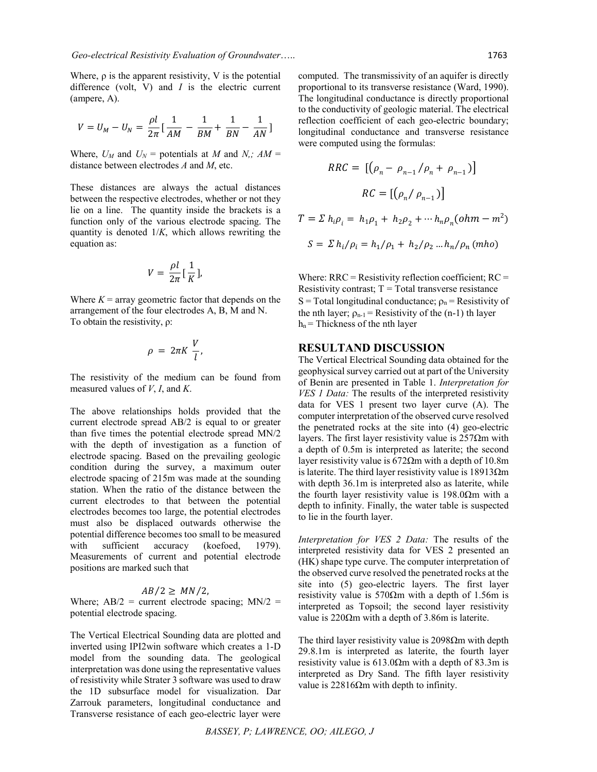Where,  $\rho$  is the apparent resistivity, V is the potential difference (volt, V) and *I* is the electric current (ampere, A).

$$
V = U_M - U_N = \frac{\rho l}{2\pi} \left[ \frac{1}{AM} - \frac{1}{BM} + \frac{1}{BN} - \frac{1}{AN} \right]
$$

Where,  $U_M$  and  $U_N$  = potentials at M and N,;  $AM =$ distance between electrodes *A* and *M*, etc.

These distances are always the actual distances between the respective electrodes, whether or not they lie on a line. The quantity inside the brackets is a function only of the various electrode spacing. The quantity is denoted 1/*K*, which allows rewriting the equation as:

$$
V = \frac{\rho l}{2\pi} \left[\frac{1}{K}\right],
$$

Where  $K = \text{array}$  geometric factor that depends on the arrangement of the four electrodes A, B, M and N. To obtain the resistivity, ρ:

$$
\rho = 2\pi K \frac{V}{l},
$$

The resistivity of the medium can be found from measured values of *V*, *I*, and *K*.

The above relationships holds provided that the current electrode spread AB/2 is equal to or greater than five times the potential electrode spread MN/2 with the depth of investigation as a function of electrode spacing. Based on the prevailing geologic condition during the survey, a maximum outer electrode spacing of 215m was made at the sounding station. When the ratio of the distance between the current electrodes to that between the potential electrodes becomes too large, the potential electrodes must also be displaced outwards otherwise the potential difference becomes too small to be measured with sufficient accuracy (koefoed, 1979). Measurements of current and potential electrode positions are marked such that

#### $AB/2 \geq MN/2$ ,

Where;  $AB/2$  = current electrode spacing;  $MN/2$  = potential electrode spacing.

The Vertical Electrical Sounding data are plotted and inverted using IPI2win software which creates a 1-D model from the sounding data. The geological interpretation was done using the representative values of resistivity while Strater 3 software was used to draw the 1D subsurface model for visualization. Dar Zarrouk parameters, longitudinal conductance and Transverse resistance of each geo-electric layer were

computed. The transmissivity of an aquifer is directly proportional to its transverse resistance (Ward, 1990). The longitudinal conductance is directly proportional to the conductivity of geologic material. The electrical reflection coefficient of each geo-electric boundary; longitudinal conductance and transverse resistance were computed using the formulas:

$$
RRC = [(\rho_n - \rho_{n-1}/\rho_n + \rho_{n-1})]
$$
  
\n
$$
RC = [(\rho_n/\rho_{n-1})]
$$
  
\n
$$
T = \sum h_i \rho_i = h_1 \rho_1 + h_2 \rho_2 + \cdots + h_n \rho_n (ohm - m^2)
$$
  
\n
$$
S = \sum h_i/\rho_i = h_1/\rho_1 + h_2/\rho_2 \ldots h_n/\rho_n (mho)
$$

Where:  $RRC =$  Resistivity reflection coefficient;  $RC =$ Resistivity contrast;  $T = Total transverse resistance$  $S = Total longitudinal conductance; \rho_n = Resistivity of$ the nth layer;  $\rho_{n-1}$  = Resistivity of the (n-1) th layer  $h_n$  = Thickness of the nth layer

### **RESULTAND DISCUSSION**

The Vertical Electrical Sounding data obtained for the geophysical survey carried out at part of the University of Benin are presented in Table 1. *Interpretation for VES 1 Data:* The results of the interpreted resistivity data for VES 1 present two layer curve (A). The computer interpretation of the observed curve resolved the penetrated rocks at the site into (4) geo-electric layers. The first layer resistivity value is 257Ωm with a depth of 0.5m is interpreted as laterite; the second layer resistivity value is 672Ωm with a depth of 10.8m is laterite. The third layer resistivity value is 18913Ωm with depth 36.1m is interpreted also as laterite, while the fourth layer resistivity value is  $198.0\Omega$ m with a depth to infinity. Finally, the water table is suspected to lie in the fourth layer.

*Interpretation for VES 2 Data:* The results of the interpreted resistivity data for VES 2 presented an (HK) shape type curve. The computer interpretation of the observed curve resolved the penetrated rocks at the site into (5) geo-electric layers. The first layer resistivity value is 570 $\Omega$ m with a depth of 1.56m is interpreted as Topsoil; the second layer resistivity value is 220Ωm with a depth of 3.86m is laterite.

The third layer resistivity value is  $2098\Omega$ m with depth 29.8.1m is interpreted as laterite, the fourth layer resistivity value is  $613.0\Omega$ m with a depth of 83.3m is interpreted as Dry Sand. The fifth layer resistivity value is  $22816Ωm$  with depth to infinity.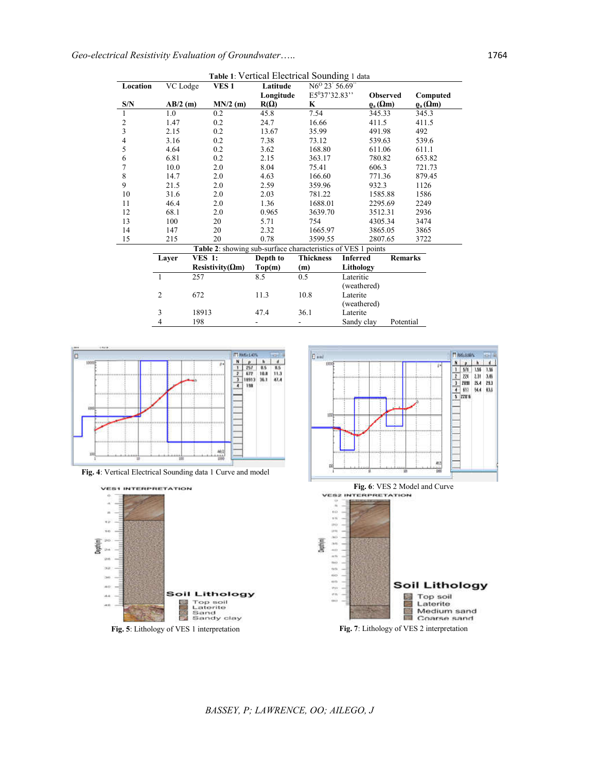|                         | Table 1: Vertical Electrical Sounding 1 data |                                                              |                |                     |                                   |                                   |          |  |  |  |  |
|-------------------------|----------------------------------------------|--------------------------------------------------------------|----------------|---------------------|-----------------------------------|-----------------------------------|----------|--|--|--|--|
| Location                | VC Lodge                                     | VES <sub>1</sub>                                             | Latitude       | $N6^{o}$ 23' 56.69" |                                   |                                   |          |  |  |  |  |
|                         |                                              |                                                              | Longitude      | $E5^{0}37'32.83''$  | <b>Observed</b>                   |                                   | Computed |  |  |  |  |
| S/N                     | $AB/2$ (m)                                   | $MN/2$ (m)                                                   | $R(\Omega)$    | K                   | $\varrho_{\rm a}(\Omega {\rm m})$ | $\varrho_{\rm a}(\Omega {\rm m})$ |          |  |  |  |  |
| $\mathbf{1}$            | 1.0                                          | 0.2                                                          | 45.8           | 7.54                | 345.33                            | 345.3                             |          |  |  |  |  |
|                         | 1.47                                         | 0.2                                                          | 24.7           | 16.66               | 411.5                             | 411.5                             |          |  |  |  |  |
| $\frac{2}{3}$           | 2.15                                         | 0.2                                                          | 13.67          | 35.99               | 491.98                            | 492                               |          |  |  |  |  |
| $\overline{\mathbf{4}}$ | 3.16                                         | 0.2                                                          | 7.38           | 73.12               | 539.63                            | 539.6                             |          |  |  |  |  |
| 5                       | 4.64                                         | 0.2                                                          | 3.62           | 168.80              | 611.06                            | 611.1                             |          |  |  |  |  |
| 6                       | 6.81                                         | 0.2                                                          | 2.15           | 363.17              | 780.82                            | 653.82                            |          |  |  |  |  |
| $\overline{7}$          | 10.0                                         | 2.0                                                          | 8.04           | 75.41               | 606.3                             | 721.73                            |          |  |  |  |  |
| $\,$ 8 $\,$             | 14.7                                         | 2.0                                                          | 4.63           | 166.60              | 771.36                            | 879.45                            |          |  |  |  |  |
| 9                       | 21.5                                         | 2.0                                                          | 2.59           | 359.96              | 932.3                             | 1126                              |          |  |  |  |  |
| 10                      | 31.6                                         | 2.0                                                          | 2.03           | 781.22              | 1585.88                           | 1586                              |          |  |  |  |  |
| 11                      | 46.4                                         | 2.0                                                          | 1.36           | 1688.01             | 2295.69                           | 2249                              |          |  |  |  |  |
| 12                      | 68.1                                         | 2.0                                                          | 0.965          | 3639.70             | 3512.31                           | 2936                              |          |  |  |  |  |
| 13                      | 100                                          | 20                                                           | 5.71           | 754                 | 4305.34                           | 3474                              |          |  |  |  |  |
| 14                      | 147                                          | 20                                                           | 2.32           | 1665.97             | 3865.05                           | 3865                              |          |  |  |  |  |
| 15                      | 215                                          | 20                                                           | 0.78           | 3599.55             | 2807.65                           | 3722                              |          |  |  |  |  |
|                         |                                              | Table 2: showing sub-surface characteristics of VES 1 points |                |                     |                                   |                                   |          |  |  |  |  |
|                         | Layer                                        | <b>VES 1:</b>                                                | Depth to       | <b>Thickness</b>    | <b>Inferred</b>                   | <b>Remarks</b>                    |          |  |  |  |  |
|                         |                                              | Resistivity( $\Omega$ m)                                     | Top(m)         | (m)                 | Lithology                         |                                   |          |  |  |  |  |
|                         | $\overline{1}$                               | 257                                                          | 8.5            | 0.5                 | Lateritic                         |                                   |          |  |  |  |  |
|                         |                                              |                                                              |                |                     | (weathered)                       |                                   |          |  |  |  |  |
|                         | $\overline{c}$                               | 672                                                          | 11.3           | 10.8                | Laterite                          |                                   |          |  |  |  |  |
|                         |                                              |                                                              |                |                     | (weathered)                       |                                   |          |  |  |  |  |
|                         | 3                                            | 18913                                                        | 47.4           | 36.1                | Laterite                          |                                   |          |  |  |  |  |
|                         | $\overline{4}$                               | 198                                                          | $\overline{a}$ |                     | Sandy clay                        | Potential                         |          |  |  |  |  |



**Fig. 4**: Vertical Electrical Sounding data 1 Curve and model



**Fig. 5**: Lithology of VES 1 interpretation



**Fig. 6: VES 2 Model and Curve** 



**Fig. 7**: Lithology of VES 2 interpretation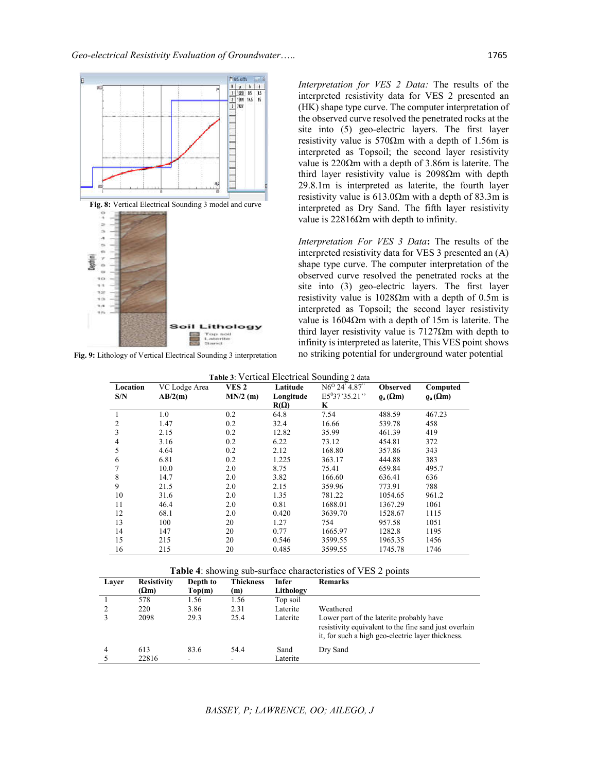

**Fig. 9:** Lithology of Vertical Electrical Sounding 3 interpretation

*Interpretation for VES 2 Data:* The results of the interpreted resistivity data for VES 2 presented an (HK) shape type curve. The computer interpretation of the observed curve resolved the penetrated rocks at the site into (5) geo-electric layers. The first layer resistivity value is 570Ωm with a depth of 1.56m is interpreted as Topsoil; the second layer resistivity value is 220Ωm with a depth of 3.86m is laterite. The third layer resistivity value is 2098Ωm with depth 29.8.1m is interpreted as laterite, the fourth layer resistivity value is  $613.0\Omega$ m with a depth of 83.3m is interpreted as Dry Sand. The fifth layer resistivity value is 22816Ωm with depth to infinity.

*Interpretation For VES 3 Data***:** The results of the interpreted resistivity data for VES 3 presented an (A) shape type curve. The computer interpretation of the observed curve resolved the penetrated rocks at the site into (3) geo-electric layers. The first layer resistivity value is  $1028\Omega$ m with a depth of 0.5m is interpreted as Topsoil; the second layer resistivity value is 1604Ωm with a depth of 15m is laterite. The third layer resistivity value is  $7127\Omega m$  with depth to infinity is interpreted as laterite, This VES point shows no striking potential for underground water potential

|  |  |  | Table 3: Vertical Electrical Sounding 2 data |  |
|--|--|--|----------------------------------------------|--|
|--|--|--|----------------------------------------------|--|

| Location | VC Lodge Area | VES <sub>2</sub> | Latitude    | כ<br>N6 <sup>o</sup> 24' 4.87" | <b>Observed</b>    | Computed                          |
|----------|---------------|------------------|-------------|--------------------------------|--------------------|-----------------------------------|
| S/N      | AB/2(m)       | $MN/2$ (m)       | Longitude   | $E5^{0}37'35.21''$             | $\rho_a(\Omega m)$ | $\varrho_{\rm a}(\Omega {\rm m})$ |
|          |               |                  | $R(\Omega)$ | K                              |                    |                                   |
|          | 1.0           | 0.2              | 64.8        | 7.54                           | 488.59             | 467.23                            |
| 2        | 1.47          | 0.2              | 32.4        | 16.66                          | 539.78             | 458                               |
| 3        | 2.15          | 0.2              | 12.82       | 35.99                          | 461.39             | 419                               |
| 4        | 3.16          | 0.2              | 6.22        | 73.12                          | 454.81             | 372                               |
| 5        | 4.64          | 0.2              | 2.12        | 168.80                         | 357.86             | 343                               |
| 6        | 6.81          | 0.2              | 1.225       | 363.17                         | 444.88             | 383                               |
|          | 10.0          | 2.0              | 8.75        | 75.41                          | 659.84             | 495.7                             |
| 8        | 14.7          | 2.0              | 3.82        | 166.60                         | 636.41             | 636                               |
| 9        | 21.5          | 2.0              | 2.15        | 359.96                         | 773.91             | 788                               |
| 10       | 31.6          | 2.0              | 1.35        | 781.22                         | 1054.65            | 961.2                             |
| 11       | 46.4          | 2.0              | 0.81        | 1688.01                        | 1367.29            | 1061                              |
| 12       | 68.1          | 2.0              | 0.420       | 3639.70                        | 1528.67            | 1115                              |
| 13       | 100           | 20               | 1.27        | 754                            | 957.58             | 1051                              |
| 14       | 147           | 20               | 0.77        | 1665.97                        | 1282.8             | 1195                              |
| 15       | 215           | 20               | 0.546       | 3599.55                        | 1965.35            | 1456                              |
| 16       | 215           | 20               | 0.485       | 3599.55                        | 1745.78            | 1746                              |

|       | <b>Table 4:</b> showing sub-surface characteristics of VES 2 points |                    |                         |                           |                                                                                                                                                        |  |  |  |  |  |
|-------|---------------------------------------------------------------------|--------------------|-------------------------|---------------------------|--------------------------------------------------------------------------------------------------------------------------------------------------------|--|--|--|--|--|
| Laver | <b>Resistivity</b><br>$(\Omega_m)$                                  | Depth to<br>Top(m) | <b>Thickness</b><br>(m) | <b>Infer</b><br>Lithology | <b>Remarks</b>                                                                                                                                         |  |  |  |  |  |
|       | 578                                                                 | 1.56               | 1.56                    | Top soil                  |                                                                                                                                                        |  |  |  |  |  |
|       | 220                                                                 | 3.86               | 2.31                    | Laterite                  | Weathered                                                                                                                                              |  |  |  |  |  |
|       | 2098                                                                | 29.3               | 25.4                    | Laterite                  | Lower part of the laterite probably have<br>resistivity equivalent to the fine sand just overlain<br>it, for such a high geo-electric layer thickness. |  |  |  |  |  |
| 4     | 613<br>22816                                                        | 83.6               | 54.4                    | Sand<br>Laterite          | Dry Sand                                                                                                                                               |  |  |  |  |  |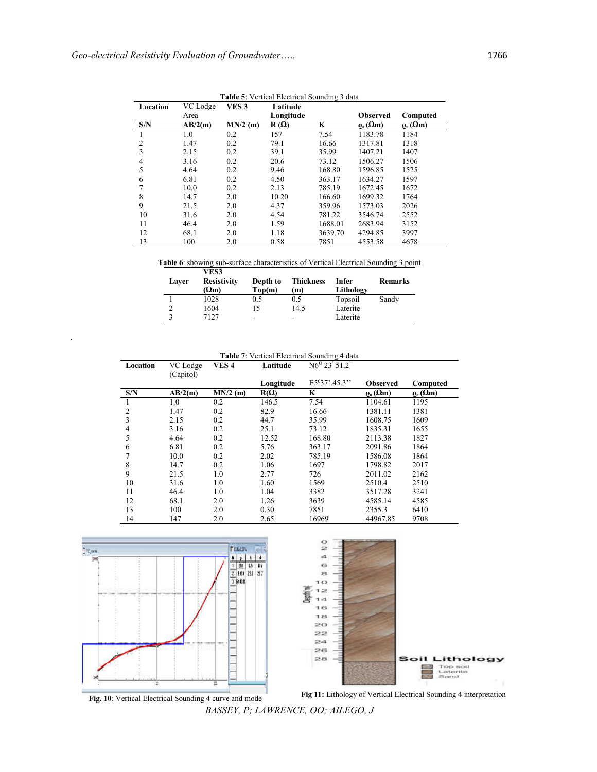| Location       | VC Lodge | VES <sub>3</sub> | Latitude    |         |                                   |                                   |
|----------------|----------|------------------|-------------|---------|-----------------------------------|-----------------------------------|
|                | Area     |                  | Longitude   |         | <b>Observed</b>                   | Computed                          |
| S/N            | AB/2(m)  | $MN/2$ (m)       | $R(\Omega)$ | K       | $\varrho_{\rm a}(\Omega {\rm m})$ | $\varrho_{\rm a}(\Omega {\rm m})$ |
| 1              | 1.0      | 0.2              | 157         | 7.54    | 1183.78                           | 1184                              |
| $\overline{2}$ | 1.47     | 0.2              | 79.1        | 16.66   | 1317.81                           | 1318                              |
| 3              | 2.15     | 0.2              | 39.1        | 35.99   | 1407.21                           | 1407                              |
| $\overline{4}$ | 3.16     | 0.2              | 20.6        | 73.12   | 1506.27                           | 1506                              |
| 5              | 4.64     | 0.2              | 9.46        | 168.80  | 1596.85                           | 1525                              |
| 6              | 6.81     | 0.2              | 4.50        | 363.17  | 1634.27                           | 1597                              |
| 7              | 10.0     | 0.2              | 2.13        | 785.19  | 1672.45                           | 1672                              |
| 8              | 14.7     | 2.0              | 10.20       | 166.60  | 1699.32                           | 1764                              |
| 9              | 21.5     | 2.0              | 4.37        | 359.96  | 1573.03                           | 2026                              |
| 10             | 31.6     | 2.0              | 4.54        | 781.22  | 3546.74                           | 2552                              |
| 11             | 46.4     | 2.0              | 1.59        | 1688.01 | 2683.94                           | 3152                              |
| 12             | 68.1     | 2.0              | 1.18        | 3639.70 | 4294.85                           | 3997                              |
| 13             | 100      | 2.0              | 0.58        | 7851    | 4553.58                           | 4678                              |

**Table 5**: Vertical Electrical Sounding 3 data

|  |             | Table 6: showing sub-surface characteristics of Vertical Electrical Sounding 3 point |  |  |
|--|-------------|--------------------------------------------------------------------------------------|--|--|
|  | <b>VEC2</b> |                                                                                      |  |  |

| Laver | VES5<br><b>Resistivity</b><br>(Ωm) | Depth to<br>Top(m) | <b>Thickness</b><br>(m) | Infer<br>Lithology | <b>Remarks</b> |
|-------|------------------------------------|--------------------|-------------------------|--------------------|----------------|
|       | 1028                               | 0.5                | 0.5                     | Topsoil            | Sandy          |
|       | 1604                               |                    | 14.5                    | Laterite           |                |
|       | 7127                               | -                  | -                       | Laterite           |                |

| <b>Table 7:</b> Vertical Electrical Sounding 4 data |                       |                  |             |                    |                                  |                               |  |  |  |
|-----------------------------------------------------|-----------------------|------------------|-------------|--------------------|----------------------------------|-------------------------------|--|--|--|
| Location                                            | VC Lodge<br>(Capitol) | VES <sub>4</sub> | Latitude    | $N6^{O}$ 23' 51.2" |                                  |                               |  |  |  |
|                                                     |                       |                  | Longitude   | $E5^{0}37'$ :45.3" | <b>Observed</b>                  | Computed                      |  |  |  |
| S/N                                                 | AB/2(m)               | $MN/2$ (m)       | $R(\Omega)$ | K                  | $\overline{\varrho_a(\Omega m)}$ | $\overline{\rho_a(\Omega m)}$ |  |  |  |
| 1                                                   | 1.0                   | 0.2              | 146.5       | 7.54               | 1104.61                          | 1195                          |  |  |  |
| 2                                                   | 1.47                  | 0.2              | 82.9        | 16.66              | 1381.11                          | 1381                          |  |  |  |
| 3                                                   | 2.15                  | 0.2              | 44.7        | 35.99              | 1608.75                          | 1609                          |  |  |  |
| 4                                                   | 3.16                  | 0.2              | 25.1        | 73.12              | 1835.31                          | 1655                          |  |  |  |
| 5                                                   | 4.64                  | 0.2              | 12.52       | 168.80             | 2113.38                          | 1827                          |  |  |  |
| 6                                                   | 6.81                  | 0.2              | 5.76        | 363.17             | 2091.86                          | 1864                          |  |  |  |
| 7                                                   | 10.0                  | 0.2              | 2.02        | 785.19             | 1586.08                          | 1864                          |  |  |  |
| 8                                                   | 14.7                  | 0.2              | 1.06        | 1697               | 1798.82                          | 2017                          |  |  |  |
| 9                                                   | 21.5                  | 1.0              | 2.77        | 726                | 2011.02                          | 2162                          |  |  |  |
| 10                                                  | 31.6                  | 1.0              | 1.60        | 1569               | 2510.4                           | 2510                          |  |  |  |
| 11                                                  | 46.4                  | 1.0              | 1.04        | 3382               | 3517.28                          | 3241                          |  |  |  |
| 12                                                  | 68.1                  | 2.0              | 1.26        | 3639               | 4585.14                          | 4585                          |  |  |  |
| 13                                                  | 100                   | 2.0              | 0.30        | 7851               | 2355.3                           | 6410                          |  |  |  |
| 14                                                  | 147                   | 2.0              | 2.65        | 16969              | 44967.85                         | 9708                          |  |  |  |



.



*BASSEY, P; LAWRENCE, OO; AILEGO, J*

**Fig. 10**: Vertical Electrical Sounding 4 curve and mode **Fig 11:** Lithology of Vertical Electrical Sounding <sup>4</sup> interpretation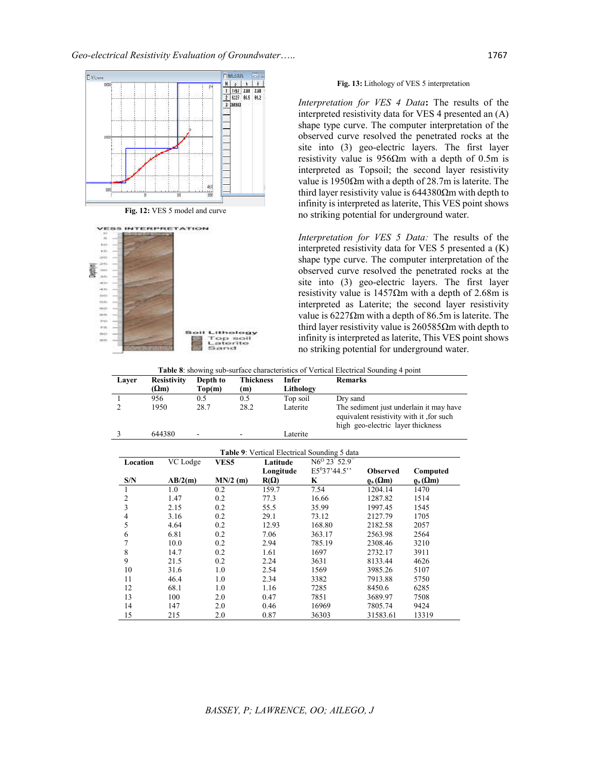

**Fig. 12:** VES 5 model and curve



3 644380 - Laterite

**Fig. 13:** Lithology of VES 5 interpretation

*Interpretation for VES 4 Data***:** The results of the interpreted resistivity data for VES 4 presented an (A) shape type curve. The computer interpretation of the observed curve resolved the penetrated rocks at the site into (3) geo-electric layers. The first layer resistivity value is  $956Ωm$  with a depth of 0.5m is interpreted as Topsoil; the second layer resistivity value is 1950Ωm with a depth of 28.7m is laterite. The third layer resistivity value is  $644380\Omega$ m with depth to infinity is interpreted as laterite, This VES point shows no striking potential for underground water.

*Interpretation for VES 5 Data:* The results of the interpreted resistivity data for VES 5 presented a (K) shape type curve. The computer interpretation of the observed curve resolved the penetrated rocks at the site into (3) geo-electric layers. The first layer resistivity value is  $1457\Omega$ m with a depth of 2.68m is interpreted as Laterite; the second layer resistivity value is 6227Ωm with a depth of 86.5m is laterite. The third layer resistivity value is  $260585\Omega$ m with depth to infinity is interpreted as laterite, This VES point shows no striking potential for underground water.

**Table 8**: showing sub-surface characteristics of Vertical Electrical Sounding 4 point

| Laver | <b>Resistivity</b> | Depth to | <b>Thickness</b> | Infer     | <b>Remarks</b>                                                                                                          |
|-------|--------------------|----------|------------------|-----------|-------------------------------------------------------------------------------------------------------------------------|
|       | $(\Omega_m)$       | Top(m)   | m)               | Lithology |                                                                                                                         |
|       | 956                | 0.5      | 0.5              | Top soil  | Dry sand                                                                                                                |
|       | 1950               | 28.7     | 28.2             | Laterite  | The sediment just underlain it may have<br>equivalent resistivity with it for such<br>high geo-electric layer thickness |

|          | Table 9: Vertical Electrical Sounding 5 data |                  |             |                                             |                                   |                                            |  |  |  |  |
|----------|----------------------------------------------|------------------|-------------|---------------------------------------------|-----------------------------------|--------------------------------------------|--|--|--|--|
| Location | VC Lodge                                     | VES <sub>5</sub> | Latitude    | $\overline{\text{N6}}^{\text{o}}$ 23' 52.9" |                                   |                                            |  |  |  |  |
|          |                                              |                  | Longitude   | $E5^{0}37'44.5''$                           | <b>Observed</b>                   | Computed                                   |  |  |  |  |
| S/N      | AB/2(m)                                      | $MN/2$ (m)       | $R(\Omega)$ | K                                           | $\varrho_{\rm a}(\Omega {\rm m})$ | $\mathbf{\underline{\varrho}}_a(\Omega m)$ |  |  |  |  |
|          | 1.0                                          | 0.2              | 159.7       | 7.54                                        | 1204.14                           | 1470                                       |  |  |  |  |
| 2        | 1.47                                         | 0.2              | 77.3        | 16.66                                       | 1287.82                           | 1514                                       |  |  |  |  |
| 3        | 2.15                                         | 0.2              | 55.5        | 35.99                                       | 1997.45                           | 1545                                       |  |  |  |  |
| 4        | 3.16                                         | 0.2              | 29.1        | 73.12                                       | 2127.79                           | 1705                                       |  |  |  |  |
| 5        | 4.64                                         | 0.2              | 12.93       | 168.80                                      | 2182.58                           | 2057                                       |  |  |  |  |
| 6        | 6.81                                         | 0.2              | 7.06        | 363.17                                      | 2563.98                           | 2564                                       |  |  |  |  |
| 7        | 10.0                                         | 0.2              | 2.94        | 785.19                                      | 2308.46                           | 3210                                       |  |  |  |  |
| 8        | 14.7                                         | 0.2              | 1.61        | 1697                                        | 2732.17                           | 3911                                       |  |  |  |  |
| 9        | 21.5                                         | 0.2              | 2.24        | 3631                                        | 8133.44                           | 4626                                       |  |  |  |  |
| 10       | 31.6                                         | 1.0              | 2.54        | 1569                                        | 3985.26                           | 5107                                       |  |  |  |  |
| 11       | 46.4                                         | 1.0              | 2.34        | 3382                                        | 7913.88                           | 5750                                       |  |  |  |  |
| 12       | 68.1                                         | 1.0              | 1.16        | 7285                                        | 8450.6                            | 6285                                       |  |  |  |  |
| 13       | 100                                          | 2.0              | 0.47        | 7851                                        | 3689.97                           | 7508                                       |  |  |  |  |
| 14       | 147                                          | 2.0              | 0.46        | 16969                                       | 7805.74                           | 9424                                       |  |  |  |  |
| 15       | 215                                          | 2.0              | 0.87        | 36303                                       | 31583.61                          | 13319                                      |  |  |  |  |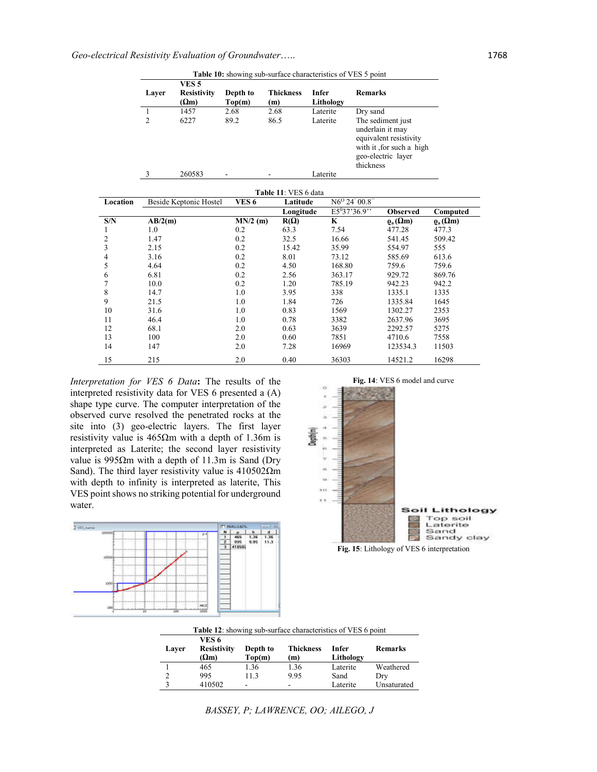|          |                |                                    |                    | Table 10: showing sub-surface characteristics of VES 5 point |                           |                                    |                                                                          |                                                     |                             |
|----------|----------------|------------------------------------|--------------------|--------------------------------------------------------------|---------------------------|------------------------------------|--------------------------------------------------------------------------|-----------------------------------------------------|-----------------------------|
|          |                | VES <sub>5</sub>                   |                    |                                                              |                           |                                    |                                                                          |                                                     |                             |
|          | Layer          | <b>Resistivity</b><br>$(\Omega m)$ | Depth to<br>Top(m) | <b>Thickness</b><br>(m)                                      | <b>Infer</b><br>Lithology |                                    | <b>Remarks</b>                                                           |                                                     |                             |
|          | -1             | 1457                               | 2.68               | 2.68                                                         | Laterite                  |                                    | Dry sand                                                                 |                                                     |                             |
|          | $\overline{c}$ | 6227                               | 89.2               | 86.5                                                         | Laterite                  |                                    | The sediment just<br>underlain it may<br>geo-electric layer<br>thickness | equivalent resistivity<br>with it , for such a high |                             |
|          | $\overline{3}$ | 260583                             |                    |                                                              | Laterite                  |                                    |                                                                          |                                                     |                             |
|          |                |                                    |                    | Table 11: VES 6 data                                         |                           |                                    |                                                                          |                                                     |                             |
| Location |                | Beside Keptonic Hostel             | VES <sub>6</sub>   | Latitude                                                     |                           | $\overline{N6^{\rm o} 24}$ ' 00.8" |                                                                          |                                                     |                             |
|          |                |                                    |                    | Longitude                                                    |                           | $E5^{0}37'36.9"$                   |                                                                          | <b>Observed</b>                                     | Computed                    |
| S/N      | AB/2(m)        |                                    | $MN/2$ (m)         | $R(\Omega)$                                                  |                           | K                                  |                                                                          | $\varrho_{\rm a}(\Omega m)$                         | $\varrho_{\rm a}(\Omega m)$ |
| 1        | 1.0            |                                    | 0.2                | 63.3                                                         |                           | 7.54                               |                                                                          | 477.28                                              | 477.3                       |
| 2        | 1.47           |                                    | 0.2                | 32.5                                                         |                           | 16.66                              |                                                                          | 541.45                                              | 509.42                      |
| 3        | 2.15           |                                    | 0.2                | 15.42                                                        |                           | 35.99                              |                                                                          | 554.97                                              | 555                         |
| 4        | 3.16           |                                    | 0.2                | 8.01                                                         |                           | 73.12                              |                                                                          | 585.69                                              | 613.6                       |
| 5        | 4.64           |                                    | 0.2                | 4.50                                                         |                           | 168.80                             |                                                                          | 759.6                                               | 759.6                       |
| 6        | 6.81           |                                    | 0.2                | 2.56                                                         |                           | 363.17                             |                                                                          | 929.72                                              | 869.76                      |
| 7        | 10.0           |                                    | 0.2                | 1.20                                                         |                           | 785.19                             |                                                                          | 942.23                                              | 942.2                       |
| 8        | 14.7           |                                    | 1.0                | 3.95                                                         |                           | 338                                |                                                                          | 1335.1                                              | 1335                        |
| 9        | 21.5           |                                    | 1.0                | 1.84                                                         |                           | 726                                |                                                                          | 1335.84                                             | 1645                        |
| 10       | 31.6           |                                    | 1.0                | 0.83                                                         |                           | 1569                               |                                                                          | 1302.27                                             | 2353                        |
| 11       | 46.4           |                                    | 1.0                | 0.78                                                         |                           | 3382                               |                                                                          | 2637.96                                             | 3695                        |
| 12       | 68.1           |                                    | 2.0                | 0.63                                                         |                           | 3639                               |                                                                          | 2292.57                                             | 5275                        |
| 13       | 100            |                                    | 2.0                | 0.60                                                         |                           | 7851                               |                                                                          | 4710.6                                              | 7558                        |
| 14       | 147            |                                    | 2.0                | 7.28                                                         |                           | 16969                              |                                                                          | 123534.3                                            | 11503                       |
| 15       | 215            |                                    | 2.0                | 0.40                                                         |                           | 36303                              |                                                                          | 14521.2                                             | 16298                       |

*Interpretation for VES 6 Data***:** The results of the interpreted resistivity data for VES 6 presented a (A) shape type curve. The computer interpretation of the observed curve resolved the penetrated rocks at the site into (3) geo-electric layers. The first layer resistivity value is 465Ωm with a depth of 1.36m is interpreted as Laterite; the second layer resistivity value is 995Ωm with a depth of 11.3m is Sand (Dry Sand). The third layer resistivity value is 410502Ωm with depth to infinity is interpreted as laterite, This VES point shows no striking potential for underground water.

L





**Table 12**: showing sub-surface characteristics of VES 6 point

|       | <b>Table 12.</b> Showing Sub-Surface characteristics of v ES 0 point |          |                  |           |                |  |  |  |  |  |
|-------|----------------------------------------------------------------------|----------|------------------|-----------|----------------|--|--|--|--|--|
|       | VES 6                                                                |          |                  |           |                |  |  |  |  |  |
| Laver | <b>Resistivity</b>                                                   | Depth to | <b>Thickness</b> | Infer     | <b>Remarks</b> |  |  |  |  |  |
|       | $(\Omega_m)$                                                         | Top(m)   | (m)              | Lithology |                |  |  |  |  |  |
|       | 465                                                                  | 1.36     | 1.36             | Laterite  | Weathered      |  |  |  |  |  |
|       | 995                                                                  | 11.3     | 9.95             | Sand      | Drv            |  |  |  |  |  |
|       | 410502                                                               |          | -                | Laterite  | Unsaturated    |  |  |  |  |  |

*BASSEY, P; LAWRENCE, OO; AILEGO, J*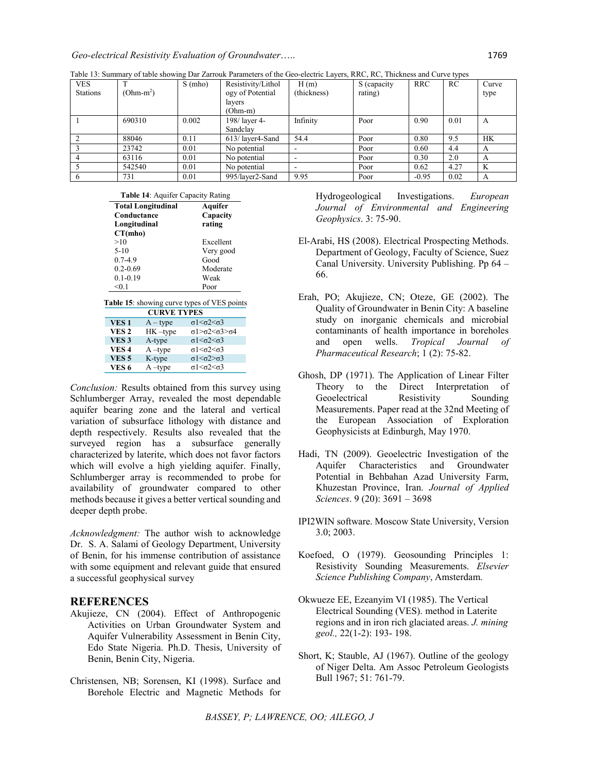| <b>VES</b>      |            | o<br>S(mho) | Resistivity/Lithol | H(m)        | S (capacity | <b>RRC</b> | RC   | Curve     |
|-----------------|------------|-------------|--------------------|-------------|-------------|------------|------|-----------|
| <b>Stations</b> | $(Ohm-m2)$ |             | ogy of Potential   | (thickness) | rating)     |            |      | type      |
|                 |            |             | lavers             |             |             |            |      |           |
|                 |            |             | (Ohm-m)            |             |             |            |      |           |
|                 | 690310     | 0.002       | 198/layer 4-       | Infinity    | Poor        | 0.90       | 0.01 | A         |
|                 |            |             | Sandclay           |             |             |            |      |           |
|                 | 88046      | 0.11        | 613/layer4-Sand    | 54.4        | Poor        | 0.80       | 9.5  | <b>HK</b> |
|                 | 23742      | 0.01        | No potential       |             | Poor        | 0.60       | 4.4  | A         |
|                 | 63116      | 0.01        | No potential       |             | Poor        | 0.30       | 2.0  | A         |
|                 | 542540     | 0.01        | No potential       |             | Poor        | 0.62       | 4.27 | K         |
|                 | 731        | 0.01        | 995/layer2-Sand    | 9.95        | Poor        | $-0.95$    | 0.02 | A         |

Table 13: Summary of table showing Dar Zarrouk Parameters of the Geo-electric Layers, RRC, RC, Thickness and Curve types

|  |  |  | Table 14: Aquifer Capacity Rating |  |
|--|--|--|-----------------------------------|--|
|--|--|--|-----------------------------------|--|

| <b>Total Longitudinal</b> | Aquifer   |  |
|---------------------------|-----------|--|
| Conductance               | Capacity  |  |
| Longitudinal              | rating    |  |
| CT(mho)                   |           |  |
| >10                       | Excellent |  |
| $5-10$                    | Very good |  |
| $0.7 - 4.9$               | Good      |  |
| $0.2 - 0.69$              | Moderate  |  |
| $0.1 - 0.19$              | Weak      |  |
| < 0.1                     | Poor      |  |

| <b>Table 15:</b> showing curve types of VES points |            |                                    |  |  |  |  |
|----------------------------------------------------|------------|------------------------------------|--|--|--|--|
| <b>CURVE TYPES</b>                                 |            |                                    |  |  |  |  |
| VES <sub>1</sub>                                   | $A - type$ | $\sigma$ 1< $\sigma$ 2< $\sigma$ 3 |  |  |  |  |
| VES <sub>2</sub>                                   | $HK$ -type | σ1>σ2<σ3>σ4                        |  |  |  |  |
| VES <sub>3</sub>                                   | A-type     | $\sigma$ 1< $\sigma$ 2< $\sigma$ 3 |  |  |  |  |
| VES <sub>4</sub>                                   | $A$ –type  | $\sigma$ 1< $\sigma$ 2< $\sigma$ 3 |  |  |  |  |
| VES <sub>5</sub>                                   | K-type     | $\sigma$ 1< $\sigma$ 2> $\sigma$ 3 |  |  |  |  |
| VES <sub>6</sub>                                   | $A$ –type  | σ1 < σ2 < σ3                       |  |  |  |  |

*Conclusion:* Results obtained from this survey using Schlumberger Array, revealed the most dependable aquifer bearing zone and the lateral and vertical variation of subsurface lithology with distance and depth respectively. Results also revealed that the surveyed region has a subsurface generally characterized by laterite, which does not favor factors which will evolve a high yielding aquifer. Finally, Schlumberger array is recommended to probe for availability of groundwater compared to other methods because it gives a better vertical sounding and deeper depth probe.

*Acknowledgment:* The author wish to acknowledge Dr. S. A. Salami of Geology Department, University of Benin, for his immense contribution of assistance with some equipment and relevant guide that ensured a successful geophysical survey

### **REFERENCES**

- Akujieze, CN (2004). Effect of Anthropogenic Activities on Urban Groundwater System and Aquifer Vulnerability Assessment in Benin City, Edo State Nigeria. Ph.D. Thesis, University of Benin, Benin City, Nigeria.
- Christensen, NB; Sorensen, KI (1998). Surface and Borehole Electric and Magnetic Methods for

Hydrogeological Investigations. *European Journal of Environmental and Engineering Geophysics*. 3: 75-90.

- El-Arabi, HS (2008). Electrical Prospecting Methods. Department of Geology, Faculty of Science, Suez Canal University. University Publishing. Pp 64 – 66.
- Erah, PO; Akujieze, CN; Oteze, GE (2002). The Quality of Groundwater in Benin City: A baseline study on inorganic chemicals and microbial contaminants of health importance in boreholes and open wells. *Tropical Journal of Pharmaceutical Research*; 1 (2): 75-82.
- Ghosh, DP (1971). The Application of Linear Filter Theory to the Direct Interpretation of Geoelectrical Resistivity Sounding Measurements. Paper read at the 32nd Meeting of the European Association of Exploration Geophysicists at Edinburgh, May 1970.
- Hadi, TN (2009). Geoelectric Investigation of the Aquifer Characteristics and Groundwater Potential in Behbahan Azad University Farm, Khuzestan Province, Iran. *Journal of Applied Sciences*. 9 (20): 3691 – 3698
- IPI2WIN software. Moscow State University, Version 3.0; 2003.
- Koefoed, O (1979). Geosounding Principles 1: Resistivity Sounding Measurements. *Elsevier Science Publishing Company*, Amsterdam.
- Okwueze EE, Ezeanyim VI (1985). The Vertical Electrical Sounding (VES). method in Laterite regions and in iron rich glaciated areas. *J. mining geol.,* 22(1-2): 193- 198.
- Short, K; Stauble, AJ (1967). Outline of the geology of Niger Delta. Am Assoc Petroleum Geologists Bull 1967; 51: 761-79.